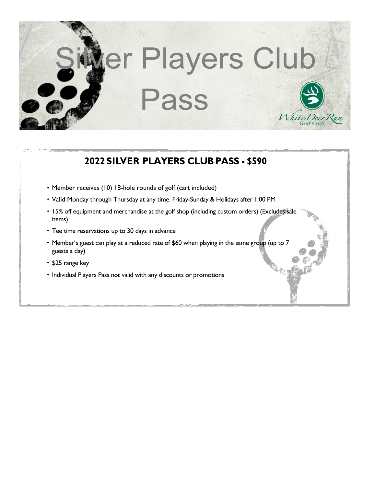

## 2022 SILVER PLAYERS CLUB PASS - \$590

- Member receives (10) 18-hole rounds of golf (cart included)
- Valid Monday through Thursday at any time. Friday-Sunday & Holidays after 1:00 PM
- 15% off equipment and merchandise at the golf shop (including custom orders) (Excludes sale items)
- Tee time reservations up to 30 days in advance
- Member's guest can play at a reduced rate of \$60 when playing in the same group (up to 7 guests a day)
- \$25 range key
- Individual Players Pass not valid with any discounts or promotions